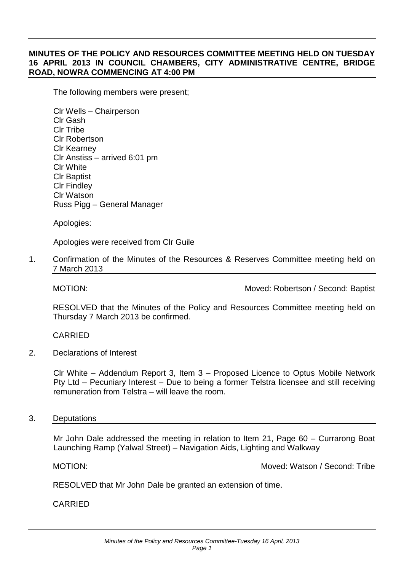# **MINUTES OF THE POLICY AND RESOURCES COMMITTEE MEETING HELD ON TUESDAY 16 APRIL 2013 IN COUNCIL CHAMBERS, CITY ADMINISTRATIVE CENTRE, BRIDGE ROAD, NOWRA COMMENCING AT 4:00 PM**

The following members were present;

Clr Wells – Chairperson Clr Gash Clr Tribe Clr Robertson Clr Kearney Clr Anstiss – arrived 6:01 pm Clr White Clr Baptist Clr Findley Clr Watson Russ Pigg – General Manager

Apologies:

Apologies were received from Clr Guile

1. Confirmation of the Minutes of the Resources & Reserves Committee meeting held on 7 March 2013

MOTION: Moved: Robertson / Second: Baptist

RESOLVED that the Minutes of the Policy and Resources Committee meeting held on Thursday 7 March 2013 be confirmed.

CARRIED

2. Declarations of Interest

Clr White – Addendum Report 3, Item 3 – Proposed Licence to Optus Mobile Network Pty Ltd – Pecuniary Interest – Due to being a former Telstra licensee and still receiving remuneration from Telstra – will leave the room.

#### 3. Deputations

Mr John Dale addressed the meeting in relation to Item 21, Page 60 – Currarong Boat Launching Ramp (Yalwal Street) – Navigation Aids, Lighting and Walkway

MOTION: Moved: Watson / Second: Tribe

RESOLVED that Mr John Dale be granted an extension of time.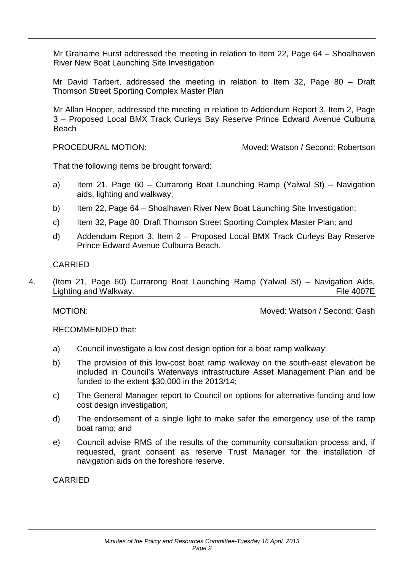Mr Grahame Hurst addressed the meeting in relation to Item 22, Page 64 – Shoalhaven River New Boat Launching Site Investigation

Mr David Tarbert, addressed the meeting in relation to Item 32, Page 80 – Draft Thomson Street Sporting Complex Master Plan

Mr Allan Hooper, addressed the meeting in relation to Addendum Report 3, Item 2, Page 3 – Proposed Local BMX Track Curleys Bay Reserve Prince Edward Avenue Culburra Beach

PROCEDURAL MOTION: Moved: Watson / Second: Robertson

That the following items be brought forward:

- a) Item 21, Page 60 Currarong Boat Launching Ramp (Yalwal St) Navigation aids, lighting and walkway;
- b) Item 22, Page 64 Shoalhaven River New Boat Launching Site Investigation;
- c) Item 32, Page 80 Draft Thomson Street Sporting Complex Master Plan; and
- d) Addendum Report 3, Item 2 Proposed Local BMX Track Curleys Bay Reserve Prince Edward Avenue Culburra Beach.

# CARRIED

4. (Item 21, Page 60) Currarong Boat Launching Ramp (Yalwal St) – Navigation Aids, Lighting and Walkway. The 4007E

MOTION: Moved: Watson / Second: Gash

RECOMMENDED that:

- a) Council investigate a low cost design option for a boat ramp walkway;
- b) The provision of this low-cost boat ramp walkway on the south-east elevation be included in Council's Waterways infrastructure Asset Management Plan and be funded to the extent \$30,000 in the 2013/14;
- c) The General Manager report to Council on options for alternative funding and low cost design investigation:
- d) The endorsement of a single light to make safer the emergency use of the ramp boat ramp; and
- e) Council advise RMS of the results of the community consultation process and, if requested, grant consent as reserve Trust Manager for the installation of navigation aids on the foreshore reserve.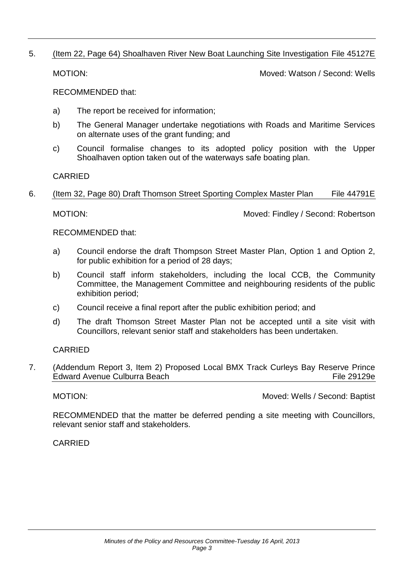### 5. (Item 22, Page 64) Shoalhaven River New Boat Launching Site Investigation File 45127E

MOTION: Moved: Watson / Second: Wells

RECOMMENDED that:

- a) The report be received for information;
- b) The General Manager undertake negotiations with Roads and Maritime Services on alternate uses of the grant funding; and
- c) Council formalise changes to its adopted policy position with the Upper Shoalhaven option taken out of the waterways safe boating plan.

CARRIED

### 6. (Item 32, Page 80) Draft Thomson Street Sporting Complex Master Plan File 44791E

MOTION: Moved: Findley / Second: Robertson

RECOMMENDED that:

- a) Council endorse the draft Thompson Street Master Plan, Option 1 and Option 2, for public exhibition for a period of 28 days;
- b) Council staff inform stakeholders, including the local CCB, the Community Committee, the Management Committee and neighbouring residents of the public exhibition period;
- c) Council receive a final report after the public exhibition period; and
- d) The draft Thomson Street Master Plan not be accepted until a site visit with Councillors, relevant senior staff and stakeholders has been undertaken.

CARRIED

7. (Addendum Report 3, Item 2) Proposed Local BMX Track Curleys Bay Reserve Prince Edward Avenue Culburra Beach File 29129e

MOTION: Moved: Wells / Second: Baptist

RECOMMENDED that the matter be deferred pending a site meeting with Councillors, relevant senior staff and stakeholders.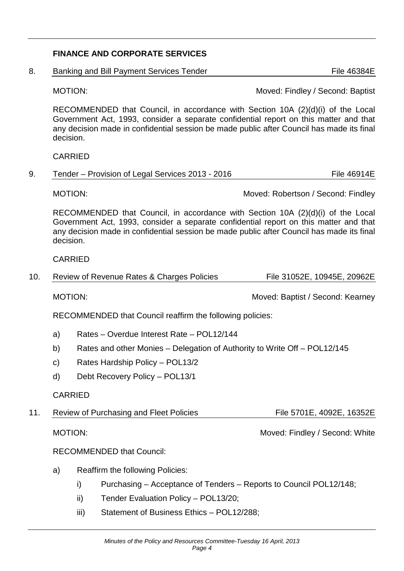# **FINANCE AND CORPORATE SERVICES**

8. Banking and Bill Payment Services Tender File 46384E

MOTION: Moved: Findley / Second: Baptist

RECOMMENDED that Council, in accordance with Section 10A (2)(d)(i) of the Local Government Act, 1993, consider a separate confidential report on this matter and that any decision made in confidential session be made public after Council has made its final decision.

#### CARRIED

9. Tender – Provision of Legal Services 2013 - 2016 **Films** File 46914E

MOTION: Moved: Robertson / Second: Findley

RECOMMENDED that Council, in accordance with Section 10A (2)(d)(i) of the Local Government Act, 1993, consider a separate confidential report on this matter and that any decision made in confidential session be made public after Council has made its final decision.

#### CARRIED

10. Review of Revenue Rates & Charges Policies File 31052E, 10945E, 20962E

MOTION: Moved: Baptist / Second: Kearney

RECOMMENDED that Council reaffirm the following policies:

- a) Rates Overdue Interest Rate POL12/144
- b) Rates and other Monies Delegation of Authority to Write Off POL12/145
- c) Rates Hardship Policy POL13/2
- d) Debt Recovery Policy POL13/1

#### CARRIED

11. Review of Purchasing and Fleet Policies File 5701E, 4092E, 16352E

MOTION: MOTION: MOTION:

RECOMMENDED that Council:

- a) Reaffirm the following Policies:
	- i) Purchasing Acceptance of Tenders Reports to Council POL12/148;
	- ii) Tender Evaluation Policy POL13/20;
	- iii) Statement of Business Ethics POL12/288;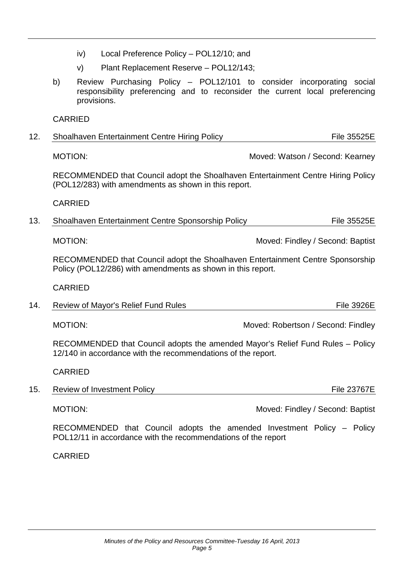- iv) Local Preference Policy POL12/10; and
- v) Plant Replacement Reserve POL12/143;
- b) Review Purchasing Policy POL12/101 to consider incorporating social responsibility preferencing and to reconsider the current local preferencing provisions.

| 12. | <b>Shoalhaven Entertainment Centre Hiring Policy</b> | <b>File 35525E</b> |
|-----|------------------------------------------------------|--------------------|
|-----|------------------------------------------------------|--------------------|

MOTION: Moved: Watson / Second: Kearney

RECOMMENDED that Council adopt the Shoalhaven Entertainment Centre Hiring Policy (POL12/283) with amendments as shown in this report.

CARRIED

13. Shoalhaven Entertainment Centre Sponsorship Policy File 355255 File 35525E

MOTION: Moved: Findley / Second: Baptist

RECOMMENDED that Council adopt the Shoalhaven Entertainment Centre Sponsorship Policy (POL12/286) with amendments as shown in this report.

CARRIED

14. Review of Mayor's Relief Fund Rules File 3926E

MOTION: MOTION: Moved: Robertson / Second: Findley

RECOMMENDED that Council adopts the amended Mayor's Relief Fund Rules – Policy 12/140 in accordance with the recommendations of the report.

CARRIED

15. Review of Investment Policy **Films** File 23767E

MOTION: Moved: Findley / Second: Baptist

RECOMMENDED that Council adopts the amended Investment Policy – Policy POL12/11 in accordance with the recommendations of the report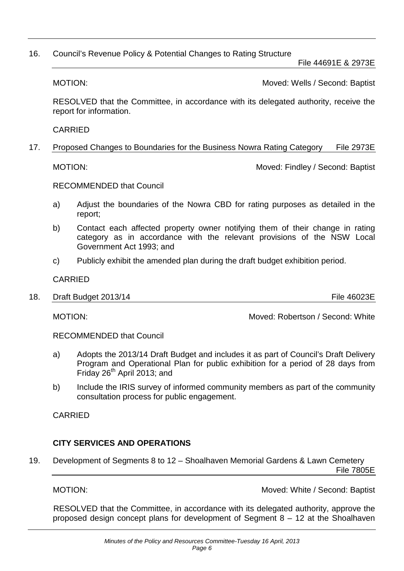### 16. Council's Revenue Policy & Potential Changes to Rating Structure

File 44691E & 2973E

MOTION: Moved: Wells / Second: Baptist

RESOLVED that the Committee, in accordance with its delegated authority, receive the report for information.

CARRIED

17. Proposed Changes to Boundaries for the Business Nowra Rating Category File 2973E

MOTION: Moved: Findley / Second: Baptist

RECOMMENDED that Council

- a) Adjust the boundaries of the Nowra CBD for rating purposes as detailed in the report;
- b) Contact each affected property owner notifying them of their change in rating category as in accordance with the relevant provisions of the NSW Local Government Act 1993; and
- c) Publicly exhibit the amended plan during the draft budget exhibition period.

CARRIED

18. Draft Budget 2013/14 **File 46023E** 

MOTION: Moved: Robertson / Second: White

RECOMMENDED that Council

- a) Adopts the 2013/14 Draft Budget and includes it as part of Council's Draft Delivery Program and Operational Plan for public exhibition for a period of 28 days from Friday  $26<sup>th</sup>$  April 2013; and
- b) Include the IRIS survey of informed community members as part of the community consultation process for public engagement.

CARRIED

# **CITY SERVICES AND OPERATIONS**

19. Development of Segments 8 to 12 – Shoalhaven Memorial Gardens & Lawn Cemetery File 7805E

MOTION: MOTION: MOTION:

RESOLVED that the Committee, in accordance with its delegated authority, approve the proposed design concept plans for development of Segment 8 – 12 at the Shoalhaven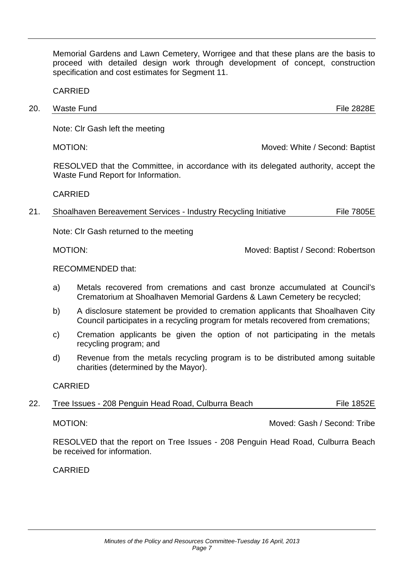Memorial Gardens and Lawn Cemetery, Worrigee and that these plans are the basis to proceed with detailed design work through development of concept, construction specification and cost estimates for Segment 11.

CARRIED

20. Waste Fund File 2828E

Note: Clr Gash left the meeting

MOTION: Moved: White / Second: Baptist

RESOLVED that the Committee, in accordance with its delegated authority, accept the Waste Fund Report for Information.

### CARRIED

21. Shoalhaven Bereavement Services - Industry Recycling Initiative File 7805E

Note: Clr Gash returned to the meeting

MOTION: Moved: Baptist / Second: Robertson

### RECOMMENDED that:

- a) Metals recovered from cremations and cast bronze accumulated at Council's Crematorium at Shoalhaven Memorial Gardens & Lawn Cemetery be recycled;
- b) A disclosure statement be provided to cremation applicants that Shoalhaven City Council participates in a recycling program for metals recovered from cremations;
- c) Cremation applicants be given the option of not participating in the metals recycling program; and
- d) Revenue from the metals recycling program is to be distributed among suitable charities (determined by the Mayor).

### CARRIED

| 22. | Tree Issues - 208 Penguin Head Road, Culburra Beach | <b>File 1852E</b> |
|-----|-----------------------------------------------------|-------------------|
|     |                                                     |                   |

MOTION: Moved: Gash / Second: Tribe

RESOLVED that the report on Tree Issues - 208 Penguin Head Road, Culburra Beach be received for information.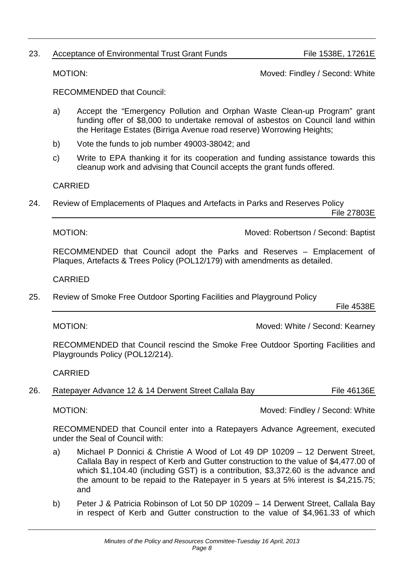# 23. Acceptance of Environmental Trust Grant Funds File 1538E, 17261E

RECOMMENDED that Council:

- a) Accept the "Emergency Pollution and Orphan Waste Clean-up Program" grant funding offer of \$8,000 to undertake removal of asbestos on Council land within the Heritage Estates (Birriga Avenue road reserve) Worrowing Heights;
- b) Vote the funds to job number 49003-38042; and
- c) Write to EPA thanking it for its cooperation and funding assistance towards this cleanup work and advising that Council accepts the grant funds offered.

CARRIED

24. Review of Emplacements of Plaques and Artefacts in Parks and Reserves Policy File 27803E

MOTION: Moved: Robertson / Second: Baptist

RECOMMENDED that Council adopt the Parks and Reserves – Emplacement of Plaques, Artefacts & Trees Policy (POL12/179) with amendments as detailed.

CARRIED

25. Review of Smoke Free Outdoor Sporting Facilities and Playground Policy

File 4538E

MOTION: Moved: White / Second: Kearney

RECOMMENDED that Council rescind the Smoke Free Outdoor Sporting Facilities and Playgrounds Policy (POL12/214).

CARRIED

| 26. | Ratepayer Advance 12 & 14 Derwent Street Callala Bay | File 46136E |
|-----|------------------------------------------------------|-------------|
|-----|------------------------------------------------------|-------------|

MOTION: MOTION: MOTION:

RECOMMENDED that Council enter into a Ratepayers Advance Agreement, executed under the Seal of Council with:

- a) Michael P Donnici & Christie A Wood of Lot 49 DP 10209 12 Derwent Street, Callala Bay in respect of Kerb and Gutter construction to the value of \$4,477.00 of which \$1,104.40 (including GST) is a contribution, \$3,372.60 is the advance and the amount to be repaid to the Ratepayer in 5 years at 5% interest is \$4,215.75; and
- b) Peter J & Patricia Robinson of Lot 50 DP 10209 14 Derwent Street, Callala Bay in respect of Kerb and Gutter construction to the value of \$4,961.33 of which

MOTION: MOTION: MOTION: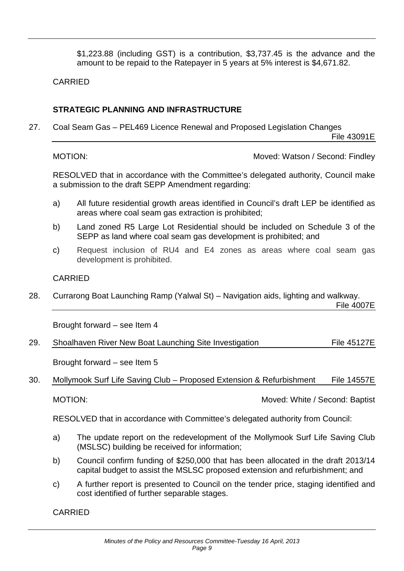\$1,223.88 (including GST) is a contribution, \$3,737.45 is the advance and the amount to be repaid to the Ratepayer in 5 years at 5% interest is \$4,671.82.

CARRIED

# **STRATEGIC PLANNING AND INFRASTRUCTURE**

27. Coal Seam Gas – PEL469 Licence Renewal and Proposed Legislation Changes

File 43091E

MOTION: MOTION: MOTION:

RESOLVED that in accordance with the Committee's delegated authority, Council make a submission to the draft SEPP Amendment regarding:

- a) All future residential growth areas identified in Council's draft LEP be identified as areas where coal seam gas extraction is prohibited;
- b) Land zoned R5 Large Lot Residential should be included on Schedule 3 of the SEPP as land where coal seam gas development is prohibited; and
- c) Request inclusion of RU4 and E4 zones as areas where coal seam gas development is prohibited.

## CARRIED

28. Currarong Boat Launching Ramp (Yalwal St) – Navigation aids, lighting and walkway.

File 4007E

Brought forward – see Item 4

| <b>File 45127E</b><br>29.<br>Shoalhaven River New Boat Launching Site Investigation |
|-------------------------------------------------------------------------------------|
|-------------------------------------------------------------------------------------|

Brought forward – see Item 5

30. Mollymook Surf Life Saving Club – Proposed Extension & Refurbishment File 14557E

MOTION: Moved: White / Second: Baptist

RESOLVED that in accordance with Committee's delegated authority from Council:

- a) The update report on the redevelopment of the Mollymook Surf Life Saving Club (MSLSC) building be received for information;
- b) Council confirm funding of \$250,000 that has been allocated in the draft 2013/14 capital budget to assist the MSLSC proposed extension and refurbishment; and
- c) A further report is presented to Council on the tender price, staging identified and cost identified of further separable stages.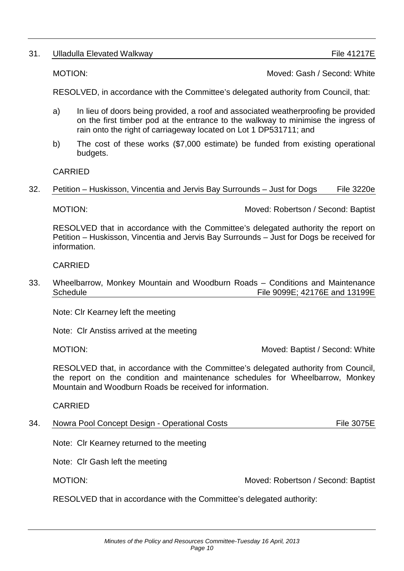# 31. Ulladulla Elevated Walkway **Films** 2012 12: The 41217E

MOTION: Moved: Gash / Second: White

RESOLVED, in accordance with the Committee's delegated authority from Council, that:

- a) In lieu of doors being provided, a roof and associated weatherproofing be provided on the first timber pod at the entrance to the walkway to minimise the ingress of rain onto the right of carriageway located on Lot 1 DP531711; and
- b) The cost of these works (\$7,000 estimate) be funded from existing operational budgets.

CARRIED

### 32. Petition – Huskisson, Vincentia and Jervis Bay Surrounds – Just for Dogs File 3220e

MOTION: Moved: Robertson / Second: Baptist

RESOLVED that in accordance with the Committee's delegated authority the report on Petition – Huskisson, Vincentia and Jervis Bay Surrounds – Just for Dogs be received for information.

CARRIED

33. Wheelbarrow, Monkey Mountain and Woodburn Roads – Conditions and Maintenance Schedule File 9099E; 42176E and 13199E

Note: Clr Kearney left the meeting

Note: Clr Anstiss arrived at the meeting

MOTION: MOTION: MOTION:

RESOLVED that, in accordance with the Committee's delegated authority from Council, the report on the condition and maintenance schedules for Wheelbarrow, Monkey Mountain and Woodburn Roads be received for information.

CARRIED

34. Nowra Pool Concept Design - Operational Costs File 3075E

Note: Clr Kearney returned to the meeting

Note: Clr Gash left the meeting

MOTION: Moved: Robertson / Second: Baptist

RESOLVED that in accordance with the Committee's delegated authority: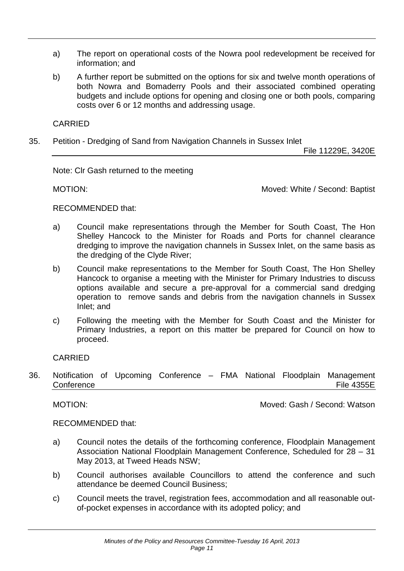- a) The report on operational costs of the Nowra pool redevelopment be received for information; and
- b) A further report be submitted on the options for six and twelve month operations of both Nowra and Bomaderry Pools and their associated combined operating budgets and include options for opening and closing one or both pools, comparing costs over 6 or 12 months and addressing usage.

35. Petition - Dredging of Sand from Navigation Channels in Sussex Inlet

File 11229E, 3420E

Note: Clr Gash returned to the meeting

MOTION: Moved: White / Second: Baptist

### RECOMMENDED that:

- a) Council make representations through the Member for South Coast, The Hon Shelley Hancock to the Minister for Roads and Ports for channel clearance dredging to improve the navigation channels in Sussex Inlet, on the same basis as the dredging of the Clyde River;
- b) Council make representations to the Member for South Coast, The Hon Shelley Hancock to organise a meeting with the Minister for Primary Industries to discuss options available and secure a pre-approval for a commercial sand dredging operation to remove sands and debris from the navigation channels in Sussex Inlet; and
- c) Following the meeting with the Member for South Coast and the Minister for Primary Industries, a report on this matter be prepared for Council on how to proceed.

### CARRIED

36. Notification of Upcoming Conference – FMA National Floodplain Management Conference File 4355E

MOTION: Moved: Gash / Second: Watson

### RECOMMENDED that:

- a) Council notes the details of the forthcoming conference, Floodplain Management Association National Floodplain Management Conference, Scheduled for 28 – 31 May 2013, at Tweed Heads NSW;
- b) Council authorises available Councillors to attend the conference and such attendance be deemed Council Business;
- c) Council meets the travel, registration fees, accommodation and all reasonable outof-pocket expenses in accordance with its adopted policy; and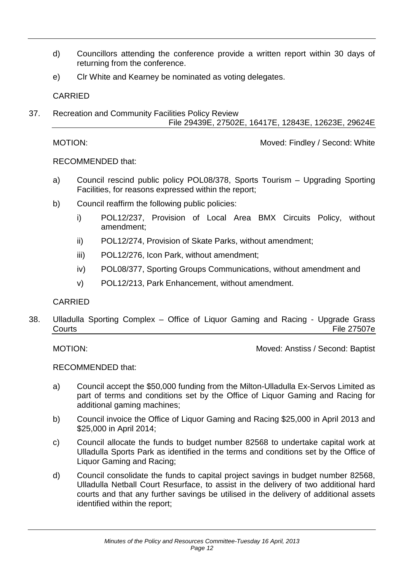- d) Councillors attending the conference provide a written report within 30 days of returning from the conference.
- e) Clr White and Kearney be nominated as voting delegates.

37. Recreation and Community Facilities Policy Review File 29439E, 27502E, 16417E, 12843E, 12623E, 29624E

MOTION: MOTION: MOTION:

RECOMMENDED that:

- a) Council rescind public policy POL08/378, Sports Tourism Upgrading Sporting Facilities, for reasons expressed within the report;
- b) Council reaffirm the following public policies:
	- i) POL12/237, Provision of Local Area BMX Circuits Policy, without amendment;
	- ii) POL12/274, Provision of Skate Parks, without amendment;
	- iii) POL12/276, Icon Park, without amendment;
	- iv) POL08/377, Sporting Groups Communications, without amendment and
	- v) POL12/213, Park Enhancement, without amendment.

### CARRIED

38. Ulladulla Sporting Complex – Office of Liquor Gaming and Racing - Upgrade Grass Courts File 27507e

MOTION: Moved: Anstiss / Second: Baptist

RECOMMENDED that:

- a) Council accept the \$50,000 funding from the Milton-Ulladulla Ex-Servos Limited as part of terms and conditions set by the Office of Liquor Gaming and Racing for additional gaming machines;
- b) Council invoice the Office of Liquor Gaming and Racing \$25,000 in April 2013 and \$25,000 in April 2014;
- c) Council allocate the funds to budget number 82568 to undertake capital work at Ulladulla Sports Park as identified in the terms and conditions set by the Office of Liquor Gaming and Racing;
- d) Council consolidate the funds to capital project savings in budget number 82568, Ulladulla Netball Court Resurface, to assist in the delivery of two additional hard courts and that any further savings be utilised in the delivery of additional assets identified within the report;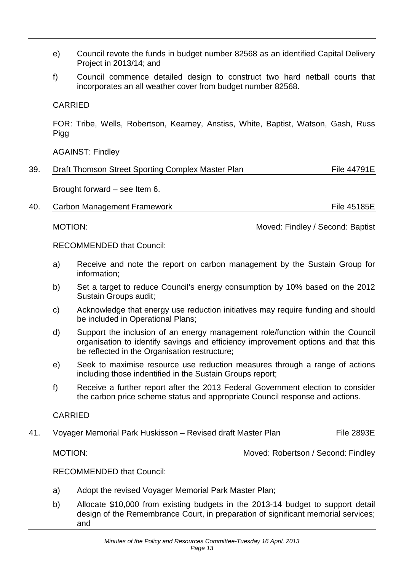- e) Council revote the funds in budget number 82568 as an identified Capital Delivery Project in 2013/14; and
- f) Council commence detailed design to construct two hard netball courts that incorporates an all weather cover from budget number 82568.

FOR: Tribe, Wells, Robertson, Kearney, Anstiss, White, Baptist, Watson, Gash, Russ Pigg

AGAINST: Findley

Brought forward – see Item 6.

40. Carbon Management Framework **Films** File 45185E

MOTION: Moved: Findley / Second: Baptist

RECOMMENDED that Council:

- a) Receive and note the report on carbon management by the Sustain Group for information;
- b) Set a target to reduce Council's energy consumption by 10% based on the 2012 Sustain Groups audit;
- c) Acknowledge that energy use reduction initiatives may require funding and should be included in Operational Plans;
- d) Support the inclusion of an energy management role/function within the Council organisation to identify savings and efficiency improvement options and that this be reflected in the Organisation restructure;
- e) Seek to maximise resource use reduction measures through a range of actions including those indentified in the Sustain Groups report;
- f) Receive a further report after the 2013 Federal Government election to consider the carbon price scheme status and appropriate Council response and actions.

### CARRIED

41. Voyager Memorial Park Huskisson – Revised draft Master Plan File 2893E

MOTION: Moved: Robertson / Second: Findley

RECOMMENDED that Council:

- a) Adopt the revised Voyager Memorial Park Master Plan;
- b) Allocate \$10,000 from existing budgets in the 2013-14 budget to support detail design of the Remembrance Court, in preparation of significant memorial services; and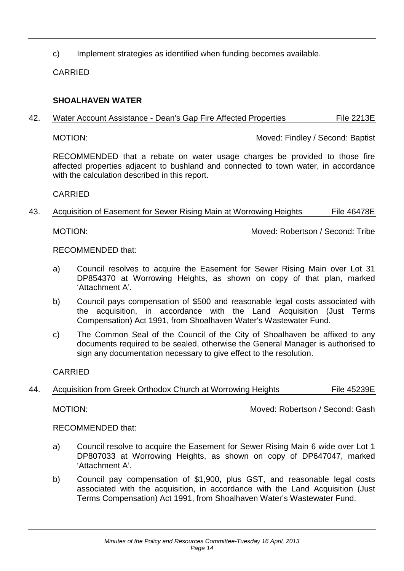c) Implement strategies as identified when funding becomes available.

CARRIED

## **SHOALHAVEN WATER**

42. Water Account Assistance - Dean's Gap Fire Affected Properties File 2213E

MOTION: Moved: Findley / Second: Baptist

RECOMMENDED that a rebate on water usage charges be provided to those fire affected properties adjacent to bushland and connected to town water, in accordance with the calculation described in this report.

CARRIED

## 43. Acquisition of Easement for Sewer Rising Main at Worrowing Heights File 46478E

MOTION: Moved: Robertson / Second: Tribe

RECOMMENDED that:

- a) Council resolves to acquire the Easement for Sewer Rising Main over Lot 31 DP854370 at Worrowing Heights, as shown on copy of that plan, marked 'Attachment A'.
- b) Council pays compensation of \$500 and reasonable legal costs associated with the acquisition, in accordance with the Land Acquisition (Just Terms Compensation) Act 1991, from Shoalhaven Water's Wastewater Fund.
- c) The Common Seal of the Council of the City of Shoalhaven be affixed to any documents required to be sealed, otherwise the General Manager is authorised to sign any documentation necessary to give effect to the resolution.

CARRIED

44. Acquisition from Greek Orthodox Church at Worrowing Heights File 45239E

MOTION: Moved: Robertson / Second: Gash

RECOMMENDED that:

- a) Council resolve to acquire the Easement for Sewer Rising Main 6 wide over Lot 1 DP807033 at Worrowing Heights, as shown on copy of DP647047, marked 'Attachment A'.
- b) Council pay compensation of \$1,900, plus GST, and reasonable legal costs associated with the acquisition, in accordance with the Land Acquisition (Just Terms Compensation) Act 1991, from Shoalhaven Water's Wastewater Fund.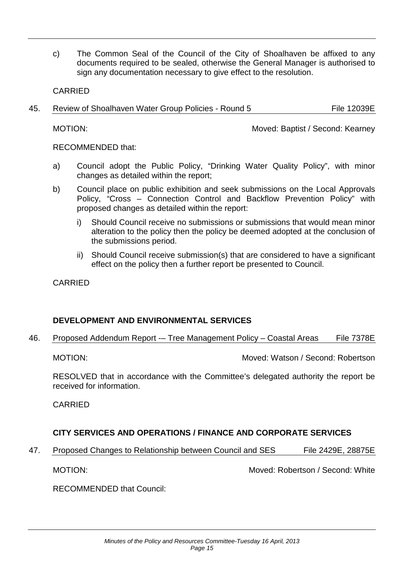c) The Common Seal of the Council of the City of Shoalhaven be affixed to any documents required to be sealed, otherwise the General Manager is authorised to sign any documentation necessary to give effect to the resolution.

CARRIED

45. Review of Shoalhaven Water Group Policies - Round 5 File 12039E

MOTION: Moved: Baptist / Second: Kearney

RECOMMENDED that:

- a) Council adopt the Public Policy, "Drinking Water Quality Policy", with minor changes as detailed within the report;
- b) Council place on public exhibition and seek submissions on the Local Approvals Policy, "Cross – Connection Control and Backflow Prevention Policy" with proposed changes as detailed within the report:
	- i) Should Council receive no submissions or submissions that would mean minor alteration to the policy then the policy be deemed adopted at the conclusion of the submissions period.
	- ii) Should Council receive submission(s) that are considered to have a significant effect on the policy then a further report be presented to Council.

CARRIED

# **DEVELOPMENT AND ENVIRONMENTAL SERVICES**

46. Proposed Addendum Report -- Tree Management Policy - Coastal Areas File 7378E

MOTION: Moved: Watson / Second: Robertson

RESOLVED that in accordance with the Committee's delegated authority the report be received for information.

CARRIED

# **CITY SERVICES AND OPERATIONS / FINANCE AND CORPORATE SERVICES**

47. Proposed Changes to Relationship between Council and SES File 2429E, 28875E

MOTION: Moved: Robertson / Second: White

RECOMMENDED that Council: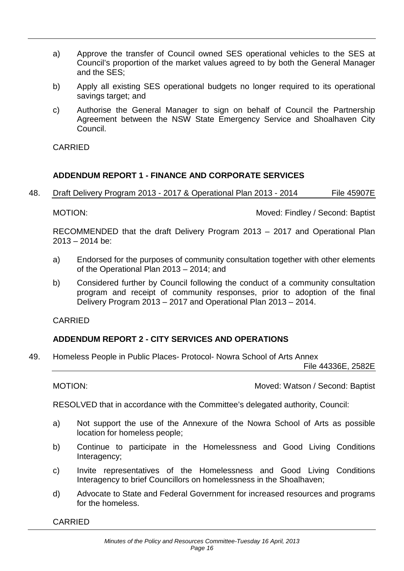- a) Approve the transfer of Council owned SES operational vehicles to the SES at Council's proportion of the market values agreed to by both the General Manager and the SES;
- b) Apply all existing SES operational budgets no longer required to its operational savings target; and
- c) Authorise the General Manager to sign on behalf of Council the Partnership Agreement between the NSW State Emergency Service and Shoalhaven City Council.

## **ADDENDUM REPORT 1 - FINANCE AND CORPORATE SERVICES**

48. Draft Delivery Program 2013 - 2017 & Operational Plan 2013 - 2014 File 45907E

MOTION: Moved: Findley / Second: Baptist

RECOMMENDED that the draft Delivery Program 2013 – 2017 and Operational Plan 2013 – 2014 be:

- a) Endorsed for the purposes of community consultation together with other elements of the Operational Plan 2013 – 2014; and
- b) Considered further by Council following the conduct of a community consultation program and receipt of community responses, prior to adoption of the final Delivery Program 2013 – 2017 and Operational Plan 2013 – 2014.

CARRIED

# **ADDENDUM REPORT 2 - CITY SERVICES AND OPERATIONS**

49. Homeless People in Public Places- Protocol- Nowra School of Arts Annex

File 44336E, 2582E

MOTION: Moved: Watson / Second: Baptist

RESOLVED that in accordance with the Committee's delegated authority, Council:

- a) Not support the use of the Annexure of the Nowra School of Arts as possible location for homeless people;
- b) Continue to participate in the Homelessness and Good Living Conditions Interagency;
- c) Invite representatives of the Homelessness and Good Living Conditions Interagency to brief Councillors on homelessness in the Shoalhaven;
- d) Advocate to State and Federal Government for increased resources and programs for the homeless.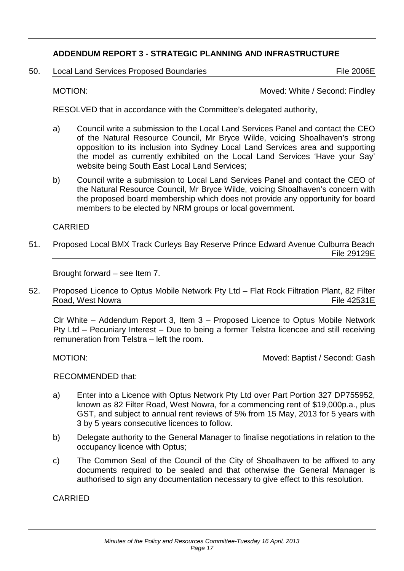# **ADDENDUM REPORT 3 - STRATEGIC PLANNING AND INFRASTRUCTURE**

50. Local Land Services Proposed Boundaries File 2006 File 2006 E

MOTION: Moved: White / Second: Findley

RESOLVED that in accordance with the Committee's delegated authority,

- a) Council write a submission to the Local Land Services Panel and contact the CEO of the Natural Resource Council, Mr Bryce Wilde, voicing Shoalhaven's strong opposition to its inclusion into Sydney Local Land Services area and supporting the model as currently exhibited on the Local Land Services 'Have your Say' website being South East Local Land Services;
- b) Council write a submission to Local Land Services Panel and contact the CEO of the Natural Resource Council, Mr Bryce Wilde, voicing Shoalhaven's concern with the proposed board membership which does not provide any opportunity for board members to be elected by NRM groups or local government.

## CARRIED

51. Proposed Local BMX Track Curleys Bay Reserve Prince Edward Avenue Culburra Beach File 29129E

Brought forward – see Item 7.

52. Proposed Licence to Optus Mobile Network Pty Ltd – Flat Rock Filtration Plant, 82 Filter Road, West Nowra **File 42531E** 

Clr White – Addendum Report 3, Item 3 – Proposed Licence to Optus Mobile Network Pty Ltd – Pecuniary Interest – Due to being a former Telstra licencee and still receiving remuneration from Telstra – left the room.

MOTION: MOTION: MOTION: MOTION: MOTION: MOTION: A Second: Gash

RECOMMENDED that:

- a) Enter into a Licence with Optus Network Pty Ltd over Part Portion 327 DP755952, known as 82 Filter Road, West Nowra, for a commencing rent of \$19,000p.a., plus GST, and subject to annual rent reviews of 5% from 15 May, 2013 for 5 years with 3 by 5 years consecutive licences to follow.
- b) Delegate authority to the General Manager to finalise negotiations in relation to the occupancy licence with Optus;
- c) The Common Seal of the Council of the City of Shoalhaven to be affixed to any documents required to be sealed and that otherwise the General Manager is authorised to sign any documentation necessary to give effect to this resolution.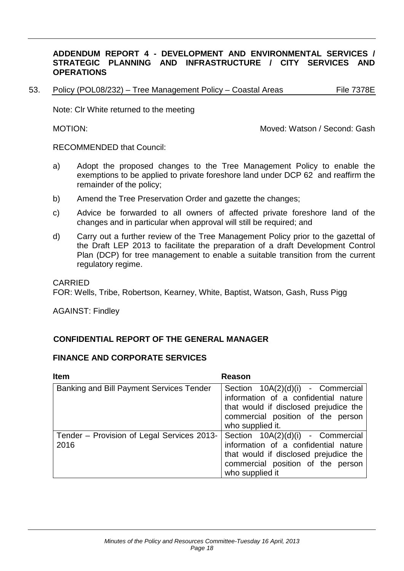### **ADDENDUM REPORT 4 - DEVELOPMENT AND ENVIRONMENTAL SERVICES / STRATEGIC PLANNING AND INFRASTRUCTURE / CITY SERVICES AND OPERATIONS**

53. Policy (POL08/232) – Tree Management Policy – Coastal Areas File 7378E

Note: Clr White returned to the meeting

MOTION: MOTION: MOTION: MOTION: MOTION: MOTION: MOTION: Gash

RECOMMENDED that Council:

- a) Adopt the proposed changes to the Tree Management Policy to enable the exemptions to be applied to private foreshore land under DCP 62 and reaffirm the remainder of the policy;
- b) Amend the Tree Preservation Order and gazette the changes;
- c) Advice be forwarded to all owners of affected private foreshore land of the changes and in particular when approval will still be required; and
- d) Carry out a further review of the Tree Management Policy prior to the gazettal of the Draft LEP 2013 to facilitate the preparation of a draft Development Control Plan (DCP) for tree management to enable a suitable transition from the current regulatory regime.

#### CARRIED

FOR: Wells, Tribe, Robertson, Kearney, White, Baptist, Watson, Gash, Russ Pigg

AGAINST: Findley

### **CONFIDENTIAL REPORT OF THE GENERAL MANAGER**

### **FINANCE AND CORPORATE SERVICES**

| <b>Item</b>                                        | Reason                                                                                                                                                                      |  |  |
|----------------------------------------------------|-----------------------------------------------------------------------------------------------------------------------------------------------------------------------------|--|--|
| Banking and Bill Payment Services Tender           | Section 10A(2)(d)(i) - Commercial<br>information of a confidential nature<br>that would if disclosed prejudice the<br>commercial position of the person<br>who supplied it. |  |  |
| Tender – Provision of Legal Services 2013-<br>2016 | Section 10A(2)(d)(i) - Commercial<br>information of a confidential nature<br>that would if disclosed prejudice the<br>commercial position of the person<br>who supplied it  |  |  |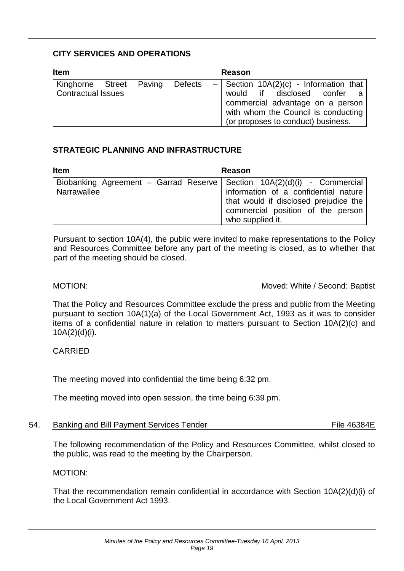# **CITY SERVICES AND OPERATIONS**

| <b>Item</b>                                          |  |  |         |  | <b>Reason</b>                                                                                                                                                                            |  |
|------------------------------------------------------|--|--|---------|--|------------------------------------------------------------------------------------------------------------------------------------------------------------------------------------------|--|
| Kinghorne Street Paving<br><b>Contractual Issues</b> |  |  | Defects |  | $-$ Section 10A(2)(c) - Information that<br>would if disclosed confer a<br>commercial advantage on a person<br>with whom the Council is conducting<br>(or proposes to conduct) business. |  |

# **STRATEGIC PLANNING AND INFRASTRUCTURE**

| <b>Item</b>                                                                                | <b>Reason</b>                                                                                                                          |  |
|--------------------------------------------------------------------------------------------|----------------------------------------------------------------------------------------------------------------------------------------|--|
| Biobanking Agreement – Garrad Reserve   Section $10A(2)(d)(i)$ - Commercial<br>Narrawallee | information of a confidential nature<br>that would if disclosed prejudice the<br>commercial position of the person<br>who supplied it. |  |

Pursuant to section 10A(4), the public were invited to make representations to the Policy and Resources Committee before any part of the meeting is closed, as to whether that part of the meeting should be closed.

MOTION: MOTION: MOTION:

That the Policy and Resources Committee exclude the press and public from the Meeting pursuant to section 10A(1)(a) of the Local Government Act, 1993 as it was to consider items of a confidential nature in relation to matters pursuant to Section 10A(2)(c) and 10A(2)(d)(i).

# CARRIED

The meeting moved into confidential the time being 6:32 pm.

The meeting moved into open session, the time being 6:39 pm.

54. Banking and Bill Payment Services Tender File 46384E

The following recommendation of the Policy and Resources Committee, whilst closed to the public, was read to the meeting by the Chairperson.

### MOTION:

That the recommendation remain confidential in accordance with Section 10A(2)(d)(i) of the Local Government Act 1993.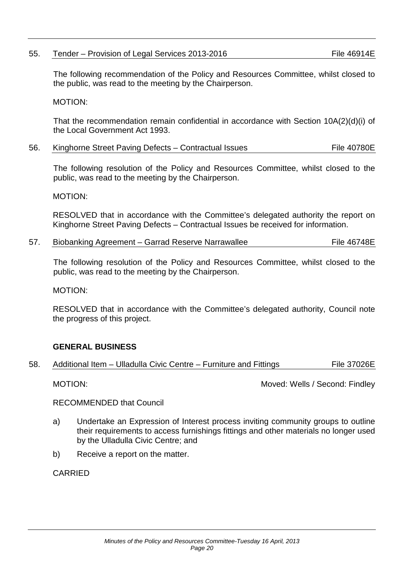# 55. Tender – Provision of Legal Services 2013-2016 File 46914E

The following recommendation of the Policy and Resources Committee, whilst closed to the public, was read to the meeting by the Chairperson.

#### MOTION:

That the recommendation remain confidential in accordance with Section 10A(2)(d)(i) of the Local Government Act 1993.

| 56. |  | Kinghorne Street Paving Defects - Contractual Issues | File 40780E |
|-----|--|------------------------------------------------------|-------------|
|-----|--|------------------------------------------------------|-------------|

The following resolution of the Policy and Resources Committee, whilst closed to the public, was read to the meeting by the Chairperson.

MOTION:

RESOLVED that in accordance with the Committee's delegated authority the report on Kinghorne Street Paving Defects – Contractual Issues be received for information.

| 57. | Biobanking Agreement - Garrad Reserve Narrawallee | File 46748E |
|-----|---------------------------------------------------|-------------|
|-----|---------------------------------------------------|-------------|

The following resolution of the Policy and Resources Committee, whilst closed to the public, was read to the meeting by the Chairperson.

MOTION:

RESOLVED that in accordance with the Committee's delegated authority, Council note the progress of this project.

### **GENERAL BUSINESS**

| 58. |  |  | Additional Item – Ulladulla Civic Centre – Furniture and Fittings | File 37026E |
|-----|--|--|-------------------------------------------------------------------|-------------|
|-----|--|--|-------------------------------------------------------------------|-------------|

MOTION: MOTION: MOTION:

RECOMMENDED that Council

- a) Undertake an Expression of Interest process inviting community groups to outline their requirements to access furnishings fittings and other materials no longer used by the Ulladulla Civic Centre; and
- b) Receive a report on the matter.